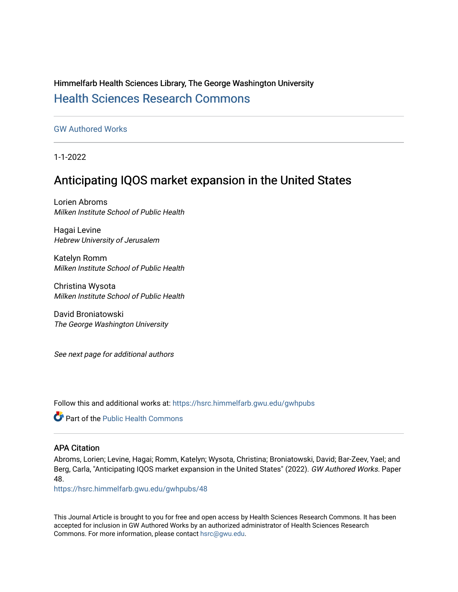Himmelfarb Health Sciences Library, The George Washington University [Health Sciences Research Commons](https://hsrc.himmelfarb.gwu.edu/) 

[GW Authored Works](https://hsrc.himmelfarb.gwu.edu/gwhpubs)

1-1-2022

## Anticipating IQOS market expansion in the United States

Lorien Abroms Milken Institute School of Public Health

Hagai Levine Hebrew University of Jerusalem

Katelyn Romm Milken Institute School of Public Health

Christina Wysota Milken Institute School of Public Health

David Broniatowski The George Washington University

See next page for additional authors

Follow this and additional works at: [https://hsrc.himmelfarb.gwu.edu/gwhpubs](https://hsrc.himmelfarb.gwu.edu/gwhpubs?utm_source=hsrc.himmelfarb.gwu.edu%2Fgwhpubs%2F48&utm_medium=PDF&utm_campaign=PDFCoverPages)

**C** Part of the Public Health Commons

## APA Citation

Abroms, Lorien; Levine, Hagai; Romm, Katelyn; Wysota, Christina; Broniatowski, David; Bar-Zeev, Yael; and Berg, Carla, "Anticipating IQOS market expansion in the United States" (2022). GW Authored Works. Paper 48.

[https://hsrc.himmelfarb.gwu.edu/gwhpubs/48](https://hsrc.himmelfarb.gwu.edu/gwhpubs/48?utm_source=hsrc.himmelfarb.gwu.edu%2Fgwhpubs%2F48&utm_medium=PDF&utm_campaign=PDFCoverPages) 

This Journal Article is brought to you for free and open access by Health Sciences Research Commons. It has been accepted for inclusion in GW Authored Works by an authorized administrator of Health Sciences Research Commons. For more information, please contact [hsrc@gwu.edu](mailto:hsrc@gwu.edu).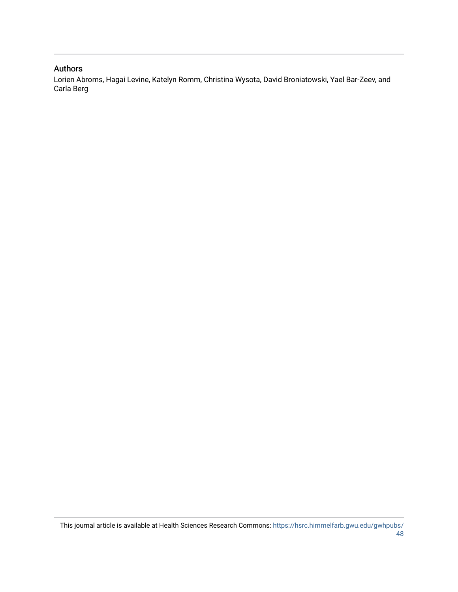## Authors

Lorien Abroms, Hagai Levine, Katelyn Romm, Christina Wysota, David Broniatowski, Yael Bar-Zeev, and Carla Berg

This journal article is available at Health Sciences Research Commons: [https://hsrc.himmelfarb.gwu.edu/gwhpubs/](https://hsrc.himmelfarb.gwu.edu/gwhpubs/48) [48](https://hsrc.himmelfarb.gwu.edu/gwhpubs/48)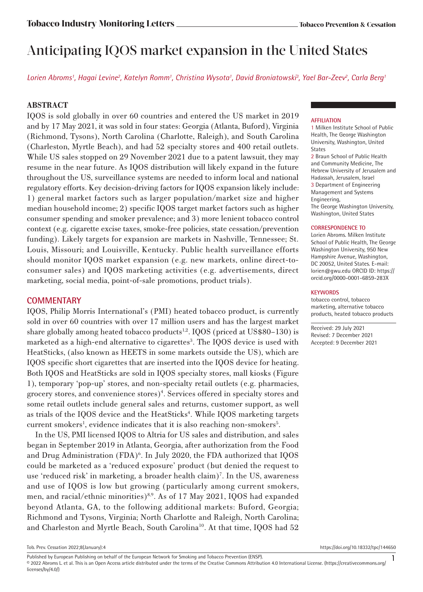# Anticipating IQOS market expansion in the United States

*Lorien Abroms1 , Hagai Levine2 , Katelyn Romm1 , Christina Wysota1 , David Broniatowski3 , Yael Bar-Zeev2 , Carla Berg1*

## **ABSTRACT**

IQOS is sold globally in over 60 countries and entered the US market in 2019 and by 17 May 2021, it was sold in four states: Georgia (Atlanta, Buford), Virginia (Richmond, Tysons), North Carolina (Charlotte, Raleigh), and South Carolina (Charleston, Myrtle Beach), and had 52 specialty stores and 400 retail outlets. While US sales stopped on 29 November 2021 due to a patent lawsuit, they may resume in the near future. As IQOS distribution will likely expand in the future throughout the US, surveillance systems are needed to inform local and national regulatory efforts. Key decision-driving factors for IQOS expansion likely include: 1) general market factors such as larger population/market size and higher median household income; 2) specific IQOS target market factors such as higher consumer spending and smoker prevalence; and 3) more lenient tobacco control context (e.g. cigarette excise taxes, smoke-free policies, state cessation/prevention funding). Likely targets for expansion are markets in Nashville, Tennessee; St. Louis, Missouri; and Louisville, Kentucky. Public health surveillance efforts should monitor IQOS market expansion (e.g. new markets, online direct-toconsumer sales) and IQOS marketing activities (e.g. advertisements, direct marketing, social media, point-of-sale promotions, product trials).

## **COMMENTARY**

IQOS, Philip Morris International's (PMI) heated tobacco product, is currently sold in over 60 countries with over 17 million users and has the largest market share globally among heated tobacco products<sup>1,2</sup>. IQOS (priced at US\$80–130) is marketed as a high-end alternative to cigarettes<sup>3</sup>. The IQOS device is used with HeatSticks, (also known as HEETS in some markets outside the US), which are IQOS specific short cigarettes that are inserted into the IQOS device for heating. Both IQOS and HeatSticks are sold in IQOS specialty stores, mall kiosks (Figure 1), temporary 'pop-up' stores, and non-specialty retail outlets (e.g. pharmacies, grocery stores, and convenience stores)4 . Services offered in specialty stores and some retail outlets include general sales and returns, customer support, as well as trials of the IQOS device and the HeatSticks<sup>4</sup>. While IQOS marketing targets current smokers<sup>1</sup>, evidence indicates that it is also reaching non-smokers<sup>5</sup>.

In the US, PMI licensed IQOS to Altria for US sales and distribution, and sales began in September 2019 in Atlanta, Georgia, after authorization from the Food and Drug Administration (FDA)<sup>6</sup>. In July 2020, the FDA authorized that IQOS could be marketed as a 'reduced exposure' product (but denied the request to use 'reduced risk' in marketing, a broader health claim)<sup>7</sup>. In the US, awareness and use of IQOS is low but growing (particularly among current smokers, men, and racial/ethnic minorities)<sup>8,9</sup>. As of 17 May 2021, IQOS had expanded beyond Atlanta, GA, to the following additional markets: Buford, Georgia; Richmond and Tysons, Virginia; North Charlotte and Raleigh, North Carolina; and Charleston and Myrtle Beach, South Carolina<sup>10</sup>. At that time, IQOS had 52

### **AFFILIATION**

1 Milken Institute School of Public Health, The George Washington University, Washington, United States

2 Braun School of Public Health and Community Medicine, The Hebrew University of Jerusalem and Hadassah, Jerusalem, Israel 3 Department of Engineering Management and Systems Engineering, The George Washington University, Washington, United States

#### **CORRESPONDENCE TO**

Lorien Abroms. Milken Institute School of Public Health, The George Washington University, 950 New Hampshire Avenue, Washington, DC 20052, United States. E-mail: lorien@gwu.edu ORCID ID: https:// orcid.org/0000-0001-6859-283X

#### **KEYWORDS**

tobacco control, tobacco marketing, alternative tobacco products, heated tobacco products

Received: 29 July 2021 Revised: 7 December 2021 Accepted: 9 December 2021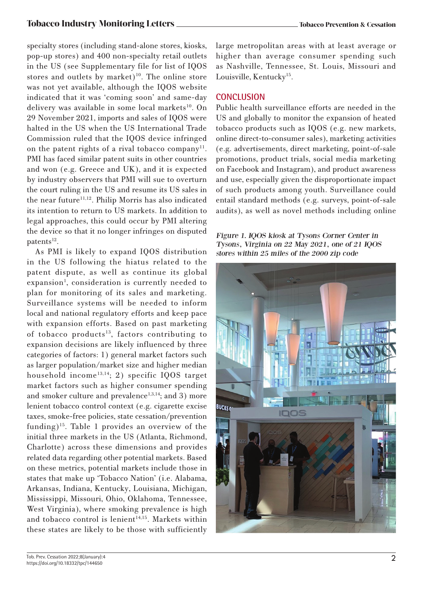## **Tobacco Industry Monitoring Letters Tobacco Prevention & Cessation**

specialty stores (including stand-alone stores, kiosks, pop-up stores) and 400 non-specialty retail outlets in the US (see Supplementary file for list of IQOS stores and outlets by market)<sup>10</sup>. The online store was not yet available, although the IQOS website indicated that it was 'coming soon' and same-day delivery was available in some local markets<sup>10</sup>. On 29 November 2021, imports and sales of IQOS were halted in the US when the US International Trade Commission ruled that the IQOS device infringed on the patent rights of a rival tobacco company<sup>11</sup>. PMI has faced similar patent suits in other countries and won (e.g. Greece and UK), and it is expected by industry observers that PMI will sue to overturn the court ruling in the US and resume its US sales in the near future<sup>11,12</sup>. Philip Morris has also indicated its intention to return to US markets. In addition to legal approaches, this could occur by PMI altering the device so that it no longer infringes on disputed patents $12$ .

As PMI is likely to expand IQOS distribution in the US following the hiatus related to the patent dispute, as well as continue its global expansion<sup>1</sup>, consideration is currently needed to plan for monitoring of its sales and marketing. Surveillance systems will be needed to inform local and national regulatory efforts and keep pace with expansion efforts. Based on past marketing of tobacco products<sup>13</sup>, factors contributing to expansion decisions are likely influenced by three categories of factors: 1) general market factors such as larger population/market size and higher median household income<sup>13,14</sup>; 2) specific IQOS target market factors such as higher consumer spending and smoker culture and prevalence<sup>1,3,14</sup>; and 3) more lenient tobacco control context (e.g. cigarette excise taxes, smoke-free policies, state cessation/prevention funding)15. Table 1 provides an overview of the initial three markets in the US (Atlanta, Richmond, Charlotte) across these dimensions and provides related data regarding other potential markets. Based on these metrics, potential markets include those in states that make up 'Tobacco Nation' (i.e. Alabama, Arkansas, Indiana, Kentucky, Louisiana, Michigan, Mississippi, Missouri, Ohio, Oklahoma, Tennessee, West Virginia), where smoking prevalence is high and tobacco control is lenient<sup>14,15</sup>. Markets within these states are likely to be those with sufficiently

large metropolitan areas with at least average or higher than average consumer spending such as Nashville, Tennessee, St. Louis, Missouri and Louisville, Kentucky<sup>15</sup>.

## **CONCLUSION**

Public health surveillance efforts are needed in the US and globally to monitor the expansion of heated tobacco products such as IQOS (e.g. new markets, online direct-to-consumer sales), marketing activities (e.g. advertisements, direct marketing, point-of-sale promotions, product trials, social media marketing on Facebook and Instagram), and product awareness and use, especially given the disproportionate impact of such products among youth. Surveillance could entail standard methods (e.g. surveys, point-of-sale audits), as well as novel methods including online

Figure 1. IQOS kiosk at Tysons Corner Center in Tysons, Virginia on 22 May 2021, one of 21 IQOS stores within 25 miles of the 2000 zip code

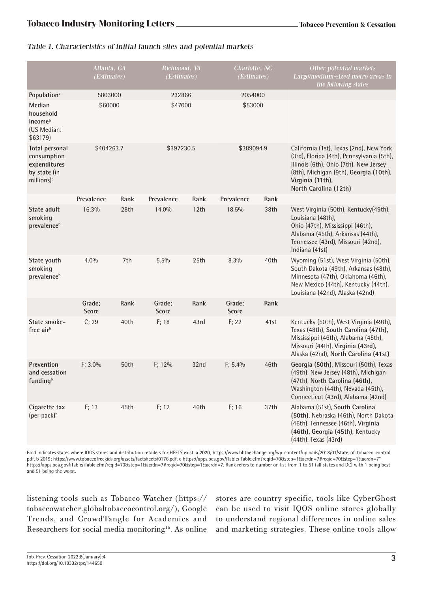## Table 1. Characteristics of initial launch sites and potential markets

|                                                                                                  | Atlanta, GA<br>(Estimates) |      | Richmond, VA<br>(Estimates) |                  | Charlotte, NC<br>(Estimates) |      | Other potential markets<br>Large/medium-sized metro areas in<br>the following states                                                                                                                                  |
|--------------------------------------------------------------------------------------------------|----------------------------|------|-----------------------------|------------------|------------------------------|------|-----------------------------------------------------------------------------------------------------------------------------------------------------------------------------------------------------------------------|
| Population <sup>a</sup>                                                                          | 5803000                    |      | 232866                      |                  | 2054000                      |      |                                                                                                                                                                                                                       |
| Median<br>household<br>income <sup>b</sup><br>(US Median:<br>\$63179)                            | \$60000                    |      | \$47000                     |                  | \$53000                      |      |                                                                                                                                                                                                                       |
| <b>Total personal</b><br>consumption<br>expenditures<br>by state (in<br>$millions)$ <sup>c</sup> | \$404263.7                 |      | \$397230.5                  |                  | \$389094.9                   |      | California (1st), Texas (2nd), New York<br>(3rd), Florida (4th), Pennsylvania (5th),<br>Illinois (6th), Ohio (7th), New Jersey<br>(8th), Michigan (9th), Georgia (10th),<br>Virginia (11th),<br>North Carolina (12th) |
|                                                                                                  | Prevalence                 | Rank | Prevalence                  | Rank             | Prevalence                   | Rank |                                                                                                                                                                                                                       |
| State adult<br>smoking<br>prevalence <sup>b</sup>                                                | 16.3%                      | 28th | 14.0%                       | 12th             | 18.5%                        | 38th | West Virginia (50th), Kentucky(49th),<br>Louisiana (48th),<br>Ohio (47th), Mississippi (46th),<br>Alabama (45th), Arkansas (44th),<br>Tennessee (43rd), Missouri (42nd),<br>Indiana (41st)                            |
| State youth<br>smoking<br>prevalence <sup>b</sup>                                                | 4.0%                       | 7th  | 5.5%                        | 25th             | 8.3%                         | 40th | Wyoming (51st), West Virginia (50th),<br>South Dakota (49th), Arkansas (48th),<br>Minnesota (47th), Oklahoma (46th),<br>New Mexico (44th), Kentucky (44th),<br>Louisiana (42nd), Alaska (42nd)                        |
|                                                                                                  | Grade;<br><b>Score</b>     | Rank | Grade;<br><b>Score</b>      | Rank             | Grade;<br><b>Score</b>       | Rank |                                                                                                                                                                                                                       |
| State smoke-<br>free air <sup>b</sup>                                                            | C; 29                      | 40th | F; 18                       | 43rd             | F; 22                        | 41st | Kentucky (50th), West Virginia (49th),<br>Texas (48th), South Carolina (47th),<br>Mississippi (46th), Alabama (45th),<br>Missouri (44th), Virginia (43rd),<br>Alaska (42nd), North Carolina (41st)                    |
| Prevention<br>and cessation<br>funding <sup>b</sup>                                              | F; 3.0%                    | 50th | F; 12%                      | 32 <sub>nd</sub> | F; 5.4%                      | 46th | Georgia (50th), Missouri (50th), Texas<br>(49th), New Jersey (48th), Michigan<br>(47th), North Carolina (46th),<br>Washington (44th), Nevada (45th),<br>Connecticut (43rd), Alabama (42nd)                            |
| Cigarette tax<br>(per pack) <sup>b</sup>                                                         | F: 13                      | 45th | F: 12                       | 46th             | F: 16                        | 37th | Alabama (51st), South Carolina<br>(50th), Nebraska (46th), North Dakota<br>(46th), Tennessee (46th), Virginia<br>(46th), Georgia (45th), Kentucky<br>(44th), Texas (43rd)                                             |

Bold indicates states where IQOS stores and distribution retailers for HEETS exist. a 2020; https://www.bhthechange.org/wp-content/uploads/2018/01/state-of-tobacco-control. pdf. b 2019; https://www.tobaccofreekids.org/assets/factsheets/0176.pdf. c https://apps.bea.gov/iTable/iTable.cfm?reqid=70&step=1&acrdn=7#reqid=70&step=1&acrdn=7" https://apps.bea.gov/iTable/iTable.cfm?reqid=70&step=1&acrdn=7#reqid=70&step=1&acrdn=7. Rank refers to number on list from 1 to 51 (all states and DC) with 1 being best and 51 being the worst.

listening tools such as Tobacco Watcher (https:// tobaccowatcher.globaltobaccocontrol.org/), Google Trends, and CrowdTangle for Academics and Researchers for social media monitoring<sup>16</sup>. As online stores are country specific, tools like CyberGhost can be used to visit IQOS online stores globally to understand regional differences in online sales and marketing strategies. These online tools allow